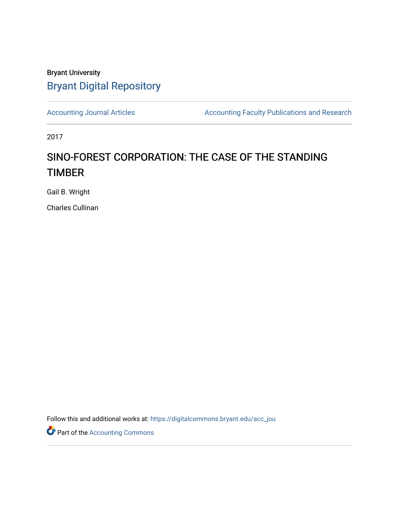## Bryant University [Bryant Digital Repository](https://digitalcommons.bryant.edu/)

[Accounting Journal Articles](https://digitalcommons.bryant.edu/acc_jou) **Accounting Faculty Publications and Research** 

2017

# SINO-FOREST CORPORATION: THE CASE OF THE STANDING TIMBER

Gail B. Wright

Charles Cullinan

Follow this and additional works at: [https://digitalcommons.bryant.edu/acc\\_jou](https://digitalcommons.bryant.edu/acc_jou?utm_source=digitalcommons.bryant.edu%2Facc_jou%2F154&utm_medium=PDF&utm_campaign=PDFCoverPages)

**Part of the [Accounting Commons](http://network.bepress.com/hgg/discipline/625?utm_source=digitalcommons.bryant.edu%2Facc_jou%2F154&utm_medium=PDF&utm_campaign=PDFCoverPages)**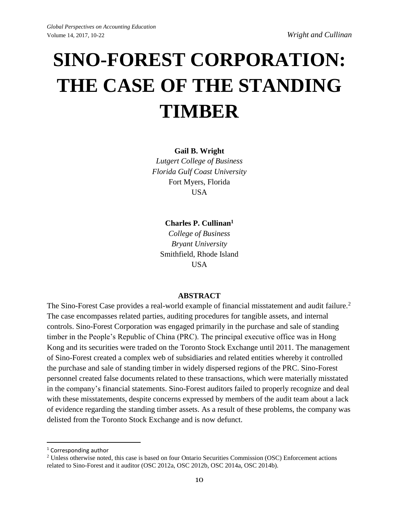# **SINO-FOREST CORPORATION: THE CASE OF THE STANDING TIMBER**

## **Gail B. Wright**

*Lutgert College of Business Florida Gulf Coast University* Fort Myers, Florida USA

**Charles P. Cullinan<sup>1</sup>**

*College of Business Bryant University* Smithfield, Rhode Island **USA** 

## **ABSTRACT**

The Sino-Forest Case provides a real-world example of financial misstatement and audit failure.<sup>2</sup> The case encompasses related parties, auditing procedures for tangible assets, and internal controls. Sino-Forest Corporation was engaged primarily in the purchase and sale of standing timber in the People's Republic of China (PRC). The principal executive office was in Hong Kong and its securities were traded on the Toronto Stock Exchange until 2011. The management of Sino-Forest created a complex web of subsidiaries and related entities whereby it controlled the purchase and sale of standing timber in widely dispersed regions of the PRC. Sino-Forest personnel created false documents related to these transactions, which were materially misstated in the company's financial statements. Sino-Forest auditors failed to properly recognize and deal with these misstatements, despite concerns expressed by members of the audit team about a lack of evidence regarding the standing timber assets. As a result of these problems, the company was delisted from the Toronto Stock Exchange and is now defunct.

 $\overline{a}$ 

<sup>1</sup> Corresponding author

<sup>2</sup> Unless otherwise noted, this case is based on four Ontario Securities Commission (OSC) Enforcement actions related to Sino-Forest and it auditor (OSC 2012a, OSC 2012b, OSC 2014a, OSC 2014b).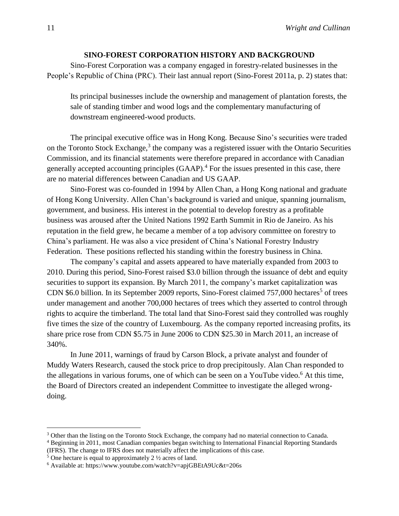## **SINO-FOREST CORPORATION HISTORY AND BACKGROUND**

Sino-Forest Corporation was a company engaged in forestry-related businesses in the People's Republic of China (PRC). Their last annual report (Sino-Forest 2011a, p. 2) states that:

Its principal businesses include the ownership and management of plantation forests, the sale of standing timber and wood logs and the complementary manufacturing of downstream engineered-wood products.

The principal executive office was in Hong Kong. Because Sino's securities were traded on the Toronto Stock Exchange,<sup>3</sup> the company was a registered issuer with the Ontario Securities Commission, and its financial statements were therefore prepared in accordance with Canadian generally accepted accounting principles (GAAP).<sup>4</sup> For the issues presented in this case, there are no material differences between Canadian and US GAAP.

Sino-Forest was co-founded in 1994 by Allen Chan, a Hong Kong national and graduate of Hong Kong University. Allen Chan's background is varied and unique, spanning journalism, government, and business. His interest in the potential to develop forestry as a profitable business was aroused after the United Nations 1992 Earth Summit in Rio de Janeiro. As his reputation in the field grew, he became a member of a top advisory committee on forestry to China's parliament. He was also a vice president of China's National Forestry Industry Federation. These positions reflected his standing within the forestry business in China.

The company's capital and assets appeared to have materially expanded from 2003 to 2010. During this period, Sino-Forest raised \$3.0 billion through the issuance of debt and equity securities to support its expansion. By March 2011, the company's market capitalization was CDN \$6.0 billion. In its September 2009 reports, Sino-Forest claimed  $757,000$  hectares<sup>5</sup> of trees under management and another 700,000 hectares of trees which they asserted to control through rights to acquire the timberland. The total land that Sino-Forest said they controlled was roughly five times the size of the country of Luxembourg. As the company reported increasing profits, its share price rose from CDN \$5.75 in June 2006 to CDN \$25.30 in March 2011, an increase of 340%.

In June 2011, warnings of fraud by Carson Block, a private analyst and founder of Muddy Waters Research, caused the stock price to drop precipitously. Alan Chan responded to the allegations in various forums, one of which can be seen on a YouTube video.<sup>6</sup> At this time, the Board of Directors created an independent Committee to investigate the alleged wrongdoing.

 $\overline{a}$ 

<sup>3</sup> Other than the listing on the Toronto Stock Exchange, the company had no material connection to Canada.

<sup>4</sup> Beginning in 2011, most Canadian companies began switching to International Financial Reporting Standards (IFRS). The change to IFRS does not materially affect the implications of this case.

<sup>&</sup>lt;sup>5</sup> One hectare is equal to approximately 2  $\frac{1}{2}$  acres of land.

 $6$  Available at: https://www.youtube.com/watch?v=apjGBEtA9Uc&t=206s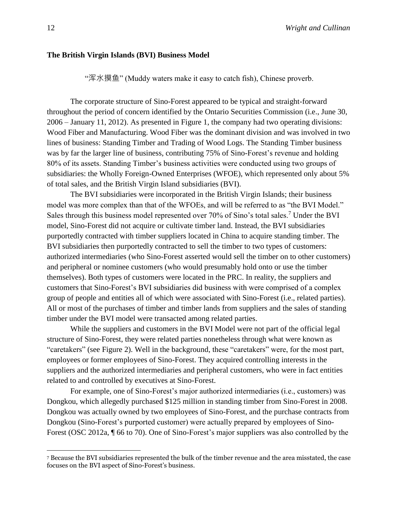#### **The British Virgin Islands (BVI) Business Model**

"浑水摸鱼" (Muddy waters make it easy to catch fish), Chinese proverb.

The corporate structure of Sino-Forest appeared to be typical and straight-forward throughout the period of concern identified by the Ontario Securities Commission (i.e., June 30, 2006 – January 11, 2012). As presented in Figure 1, the company had two operating divisions: Wood Fiber and Manufacturing. Wood Fiber was the dominant division and was involved in two lines of business: Standing Timber and Trading of Wood Logs. The Standing Timber business was by far the larger line of business, contributing 75% of Sino-Forest's revenue and holding 80% of its assets. Standing Timber's business activities were conducted using two groups of subsidiaries: the Wholly Foreign-Owned Enterprises (WFOE), which represented only about 5% of total sales, and the British Virgin Island subsidiaries (BVI).

The BVI subsidiaries were incorporated in the British Virgin Islands; their business model was more complex than that of the WFOEs, and will be referred to as "the BVI Model." Sales through this business model represented over 70% of Sino's total sales.<sup>7</sup> Under the BVI model, Sino-Forest did not acquire or cultivate timber land. Instead, the BVI subsidiaries purportedly contracted with timber suppliers located in China to acquire standing timber. The BVI subsidiaries then purportedly contracted to sell the timber to two types of customers: authorized intermediaries (who Sino-Forest asserted would sell the timber on to other customers) and peripheral or nominee customers (who would presumably hold onto or use the timber themselves). Both types of customers were located in the PRC. In reality, the suppliers and customers that Sino-Forest's BVI subsidiaries did business with were comprised of a complex group of people and entities all of which were associated with Sino-Forest (i.e., related parties). All or most of the purchases of timber and timber lands from suppliers and the sales of standing timber under the BVI model were transacted among related parties.

While the suppliers and customers in the BVI Model were not part of the official legal structure of Sino-Forest, they were related parties nonetheless through what were known as "caretakers" (see Figure 2). Well in the background, these "caretakers" were, for the most part, employees or former employees of Sino-Forest. They acquired controlling interests in the suppliers and the authorized intermediaries and peripheral customers, who were in fact entities related to and controlled by executives at Sino-Forest.

For example, one of Sino-Forest's major authorized intermediaries (i.e., customers) was Dongkou, which allegedly purchased \$125 million in standing timber from Sino-Forest in 2008. Dongkou was actually owned by two employees of Sino-Forest, and the purchase contracts from Dongkou (Sino-Forest's purported customer) were actually prepared by employees of Sino-Forest (OSC 2012a, ¶ 66 to 70). One of Sino-Forest's major suppliers was also controlled by the

 $\overline{a}$ 

<sup>7</sup> Because the BVI subsidiaries represented the bulk of the timber revenue and the area misstated, the case focuses on the BVI aspect of Sino-Forest's business.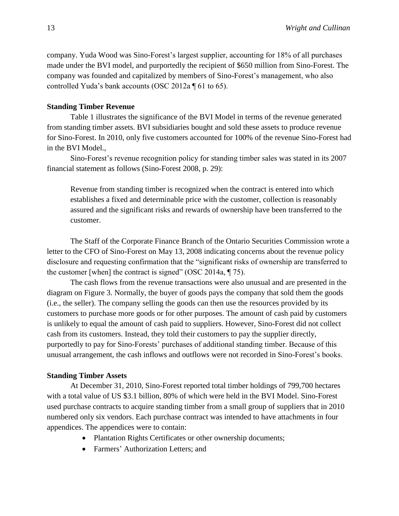company. Yuda Wood was Sino-Forest's largest supplier, accounting for 18% of all purchases made under the BVI model, and purportedly the recipient of \$650 million from Sino-Forest. The company was founded and capitalized by members of Sino-Forest's management, who also controlled Yuda's bank accounts (OSC 2012a ¶ 61 to 65).

## **Standing Timber Revenue**

Table 1 illustrates the significance of the BVI Model in terms of the revenue generated from standing timber assets. BVI subsidiaries bought and sold these assets to produce revenue for Sino-Forest. In 2010, only five customers accounted for 100% of the revenue Sino-Forest had in the BVI Model.,

Sino-Forest's revenue recognition policy for standing timber sales was stated in its 2007 financial statement as follows (Sino-Forest 2008, p. 29):

Revenue from standing timber is recognized when the contract is entered into which establishes a fixed and determinable price with the customer, collection is reasonably assured and the significant risks and rewards of ownership have been transferred to the customer.

The Staff of the Corporate Finance Branch of the Ontario Securities Commission wrote a letter to the CFO of Sino-Forest on May 13, 2008 indicating concerns about the revenue policy disclosure and requesting confirmation that the "significant risks of ownership are transferred to the customer [when] the contract is signed" (OSC 2014a,  $\P$  75).

The cash flows from the revenue transactions were also unusual and are presented in the diagram on Figure 3. Normally, the buyer of goods pays the company that sold them the goods (i.e., the seller). The company selling the goods can then use the resources provided by its customers to purchase more goods or for other purposes. The amount of cash paid by customers is unlikely to equal the amount of cash paid to suppliers. However, Sino-Forest did not collect cash from its customers. Instead, they told their customers to pay the supplier directly, purportedly to pay for Sino-Forests' purchases of additional standing timber. Because of this unusual arrangement, the cash inflows and outflows were not recorded in Sino-Forest's books.

## **Standing Timber Assets**

At December 31, 2010, Sino-Forest reported total timber holdings of 799,700 hectares with a total value of US \$3.1 billion, 80% of which were held in the BVI Model. Sino-Forest used purchase contracts to acquire standing timber from a small group of suppliers that in 2010 numbered only six vendors. Each purchase contract was intended to have attachments in four appendices. The appendices were to contain:

- Plantation Rights Certificates or other ownership documents;
- Farmers' Authorization Letters: and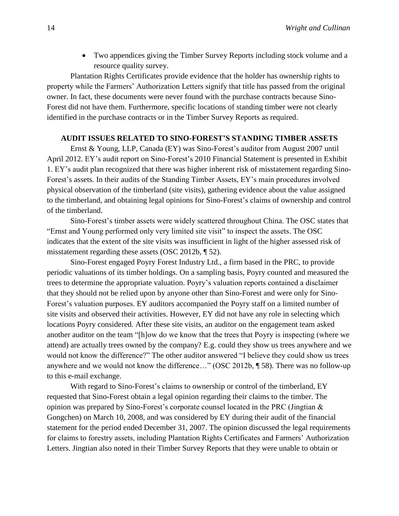Two appendices giving the Timber Survey Reports including stock volume and a resource quality survey.

Plantation Rights Certificates provide evidence that the holder has ownership rights to property while the Farmers' Authorization Letters signify that title has passed from the original owner. In fact, these documents were never found with the purchase contracts because Sino-Forest did not have them. Furthermore, specific locations of standing timber were not clearly identified in the purchase contracts or in the Timber Survey Reports as required.

## **AUDIT ISSUES RELATED TO SINO-FOREST'S STANDING TIMBER ASSETS**

Ernst & Young, LLP, Canada (EY) was Sino-Forest's auditor from August 2007 until April 2012. EY's audit report on Sino-Forest's 2010 Financial Statement is presented in Exhibit 1. EY's audit plan recognized that there was higher inherent risk of misstatement regarding Sino-Forest's assets. In their audits of the Standing Timber Assets, EY's main procedures involved physical observation of the timberland (site visits), gathering evidence about the value assigned to the timberland, and obtaining legal opinions for Sino-Forest's claims of ownership and control of the timberland.

Sino-Forest's timber assets were widely scattered throughout China. The OSC states that "Ernst and Young performed only very limited site visit" to inspect the assets. The OSC indicates that the extent of the site visits was insufficient in light of the higher assessed risk of misstatement regarding these assets (OSC 2012b, ¶ 52).

Sino-Forest engaged Poyry Forest Industry Ltd., a firm based in the PRC, to provide periodic valuations of its timber holdings. On a sampling basis, Poyry counted and measured the trees to determine the appropriate valuation. Poyry's valuation reports contained a disclaimer that they should not be relied upon by anyone other than Sino-Forest and were only for Sino-Forest's valuation purposes. EY auditors accompanied the Poyry staff on a limited number of site visits and observed their activities. However, EY did not have any role in selecting which locations Poyry considered. After these site visits, an auditor on the engagement team asked another auditor on the team "[h]ow do we know that the trees that Poyry is inspecting (where we attend) are actually trees owned by the company? E.g. could they show us trees anywhere and we would not know the difference?" The other auditor answered "I believe they could show us trees anywhere and we would not know the difference…" (OSC 2012b, ¶ 58). There was no follow-up to this e-mail exchange.

With regard to Sino-Forest's claims to ownership or control of the timberland, EY requested that Sino-Forest obtain a legal opinion regarding their claims to the timber. The opinion was prepared by Sino-Forest's corporate counsel located in the PRC (Jingtian & Gongchen) on March 10, 2008, and was considered by EY during their audit of the financial statement for the period ended December 31, 2007. The opinion discussed the legal requirements for claims to forestry assets, including Plantation Rights Certificates and Farmers' Authorization Letters. Jingtian also noted in their Timber Survey Reports that they were unable to obtain or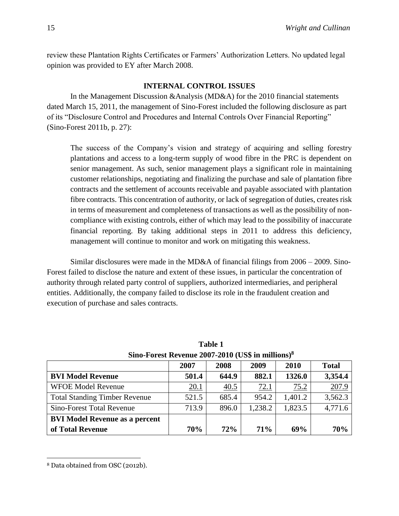review these Plantation Rights Certificates or Farmers' Authorization Letters. No updated legal opinion was provided to EY after March 2008.

## **INTERNAL CONTROL ISSUES**

In the Management Discussion &Analysis (MD&A) for the 2010 financial statements dated March 15, 2011, the management of Sino-Forest included the following disclosure as part of its "Disclosure Control and Procedures and Internal Controls Over Financial Reporting" (Sino-Forest 2011b, p. 27):

The success of the Company's vision and strategy of acquiring and selling forestry plantations and access to a long-term supply of wood fibre in the PRC is dependent on senior management. As such, senior management plays a significant role in maintaining customer relationships, negotiating and finalizing the purchase and sale of plantation fibre contracts and the settlement of accounts receivable and payable associated with plantation fibre contracts. This concentration of authority, or lack of segregation of duties, creates risk in terms of measurement and completeness of transactions as well as the possibility of noncompliance with existing controls, either of which may lead to the possibility of inaccurate financial reporting. By taking additional steps in 2011 to address this deficiency, management will continue to monitor and work on mitigating this weakness.

Similar disclosures were made in the MD&A of financial filings from 2006 – 2009. Sino-Forest failed to disclose the nature and extent of these issues, in particular the concentration of authority through related party control of suppliers, authorized intermediaries, and peripheral entities. Additionally, the company failed to disclose its role in the fraudulent creation and execution of purchase and sales contracts.

| $\mathbf{S}$ HIO-FOTEST REVENUE $\mathbf{2007}$ - $\mathbf{2010}$ ( $\mathbf{U}\mathbf{S}\mathbf{\Phi}$ in Himilons) |       |       |            |         |              |
|----------------------------------------------------------------------------------------------------------------------|-------|-------|------------|---------|--------------|
|                                                                                                                      | 2007  | 2008  | 2009       | 2010    | <b>Total</b> |
| <b>BVI Model Revenue</b>                                                                                             | 501.4 | 644.9 | 882.1      | 1326.0  | 3,354.4      |
| <b>WFOE Model Revenue</b>                                                                                            | 20.1  | 40.5  | 72.1       | 75.2    | 207.9        |
| <b>Total Standing Timber Revenue</b>                                                                                 | 521.5 | 685.4 | 954.2      | 1,401.2 | 3,562.3      |
| Sino-Forest Total Revenue                                                                                            | 713.9 | 896.0 | 1,238.2    | 1,823.5 | 4,771.6      |
| <b>BVI Model Revenue as a percent</b>                                                                                |       |       |            |         |              |
| of Total Revenue                                                                                                     | 70%   | 72%   | <b>71%</b> | 69%     | 70%          |

**Table 1 Sino-Forest Revenue 2007-2010 (US\$ in millions)<sup>8</sup>**

 $\overline{a}$ <sup>8</sup> Data obtained from OSC (2012b).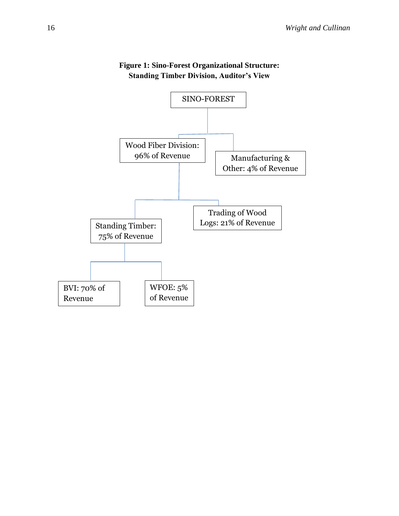

## **Figure 1: Sino-Forest Organizational Structure: Standing Timber Division, Auditor's View**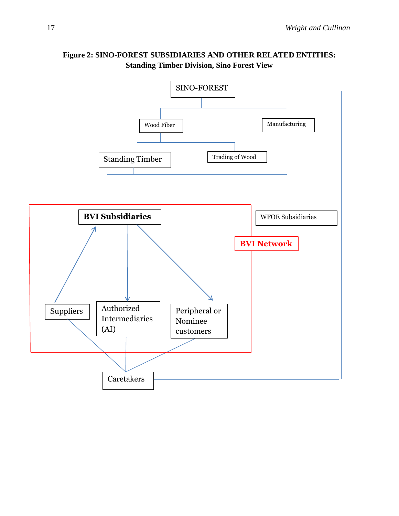

## **Figure 2: SINO-FOREST SUBSIDIARIES AND OTHER RELATED ENTITIES: Standing Timber Division, Sino Forest View**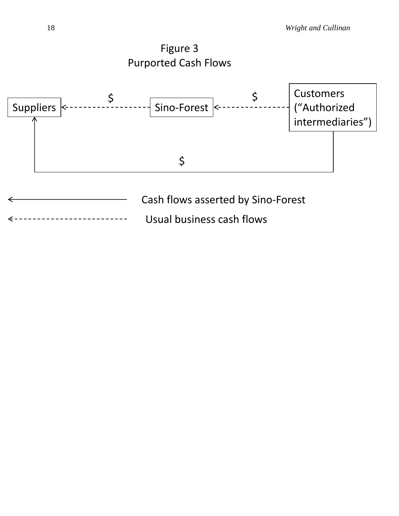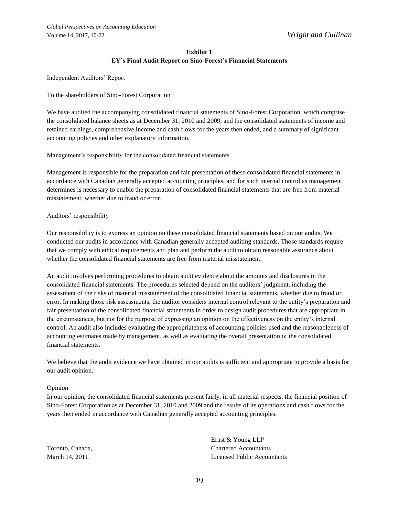#### **Exhibit 1**

#### **EY's Final Audit Report on Sino-Forest's Financial Statements**

Independent Auditors' Report

To the shareholders of Sino-Forest Corporation

We have audited the accompanying consolidated financial statements of Sino-Forest Corporation, which comprise the consolidated balance sheets as at December 31, 2010 and 2009, and the consolidated statements of income and retained earnings, comprehensive income and cash flows for the years then ended, and a summary of significant accounting policies and other explanatory information.

Management's responsibility for the consolidated financial statements

Management is responsible for the preparation and fair presentation of these consolidated financial statements in accordance with Canadian generally accepted accounting principles, and for such internal control as management determines is necessary to enable the preparation of consolidated financial statements that are free from material misstatement, whether due to fraud or error.

#### Auditors' responsibility

Our responsibility is to express an opinion on these consolidated financial statements based on our audits. We conducted our audits in accordance with Canadian generally accepted auditing standards. Those standards require that we comply with ethical requirements and plan and perform the audit to obtain reasonable assurance about whether the consolidated financial statements are free from material misstatement.

An audit involves performing procedures to obtain audit evidence about the amounts and disclosures in the consolidated financial statements. The procedures selected depend on the auditors' judgment, including the assessment of the risks of material misstatement of the consolidated financial statements, whether due to fraud or error. In making those risk assessments, the auditor considers internal control relevant to the entity's preparation and fair presentation of the consolidated financial statements in order to design audit procedures that are appropriate in the circumstances, but not for the purpose of expressing an opinion on the effectiveness on the entity's internal control. An audit also includes evaluating the appropriateness of accounting policies used and the reasonableness of accounting estimates made by management, as well as evaluating the overall presentation of the consolidated financial statements.

We believe that the audit evidence we have obtained in our audits is sufficient and appropriate to provide a basis for our audit opinion.

#### Opinion

In our opinion, the consolidated financial statements present fairly, in all material respects, the financial position of Sino-Forest Corporation as at December 31, 2010 and 2009 and the results of its operations and cash flows for the years then ended in accordance with Canadian generally accepted accounting principles.

Ernst & Young LLP Toronto, Canada, Chartered Accountants March 14, 2011. **Licensed Public Accountants**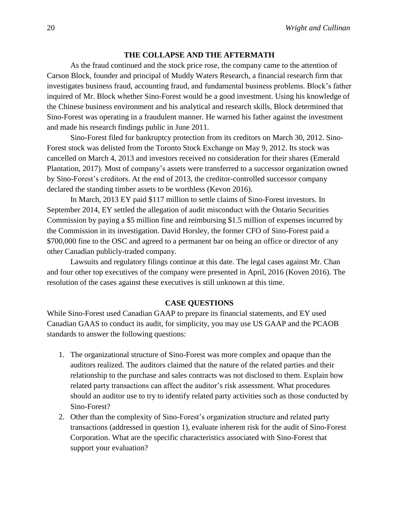## **THE COLLAPSE AND THE AFTERMATH**

As the fraud continued and the stock price rose, the company came to the attention of Carson Block, founder and principal of Muddy Waters Research, a financial research firm that investigates business fraud, accounting fraud, and fundamental business problems. Block's father inquired of Mr. Block whether Sino-Forest would be a good investment. Using his knowledge of the Chinese business environment and his analytical and research skills, Block determined that Sino-Forest was operating in a fraudulent manner. He warned his father against the investment and made his research findings public in June 2011.

Sino-Forest filed for bankruptcy protection from its creditors on March 30, 2012. Sino-Forest stock was delisted from the Toronto Stock Exchange on May 9, 2012. Its stock was cancelled on March 4, 2013 and investors received no consideration for their shares (Emerald Plantation, 2017). Most of company's assets were transferred to a successor organization owned by Sino-Forest's creditors. At the end of 2013, the creditor-controlled successor company declared the standing timber assets to be worthless (Kevon 2016).

In March, 2013 EY paid \$117 million to settle claims of Sino-Forest investors. In September 2014, EY settled the allegation of audit misconduct with the Ontario Securities Commission by paying a \$5 million fine and reimbursing \$1.5 million of expenses incurred by the Commission in its investigation. David Horsley, the former CFO of Sino-Forest paid a \$700,000 fine to the OSC and agreed to a permanent bar on being an office or director of any other Canadian publicly-traded company.

Lawsuits and regulatory filings continue at this date. The legal cases against Mr. Chan and four other top executives of the company were presented in April, 2016 (Koven 2016). The resolution of the cases against these executives is still unknown at this time.

#### **CASE QUESTIONS**

While Sino-Forest used Canadian GAAP to prepare its financial statements, and EY used Canadian GAAS to conduct its audit, for simplicity, you may use US GAAP and the PCAOB standards to answer the following questions:

- 1. The organizational structure of Sino-Forest was more complex and opaque than the auditors realized. The auditors claimed that the nature of the related parties and their relationship to the purchase and sales contracts was not disclosed to them. Explain how related party transactions can affect the auditor's risk assessment. What procedures should an auditor use to try to identify related party activities such as those conducted by Sino-Forest?
- 2. Other than the complexity of Sino-Forest's organization structure and related party transactions (addressed in question 1), evaluate inherent risk for the audit of Sino-Forest Corporation. What are the specific characteristics associated with Sino-Forest that support your evaluation?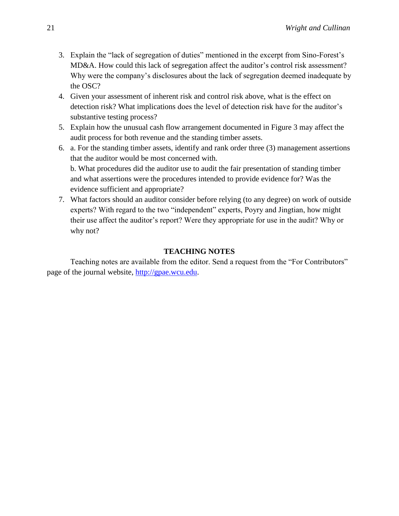- 3. Explain the "lack of segregation of duties" mentioned in the excerpt from Sino-Forest's MD&A. How could this lack of segregation affect the auditor's control risk assessment? Why were the company's disclosures about the lack of segregation deemed inadequate by the OSC?
- 4. Given your assessment of inherent risk and control risk above, what is the effect on detection risk? What implications does the level of detection risk have for the auditor's substantive testing process?
- 5. Explain how the unusual cash flow arrangement documented in Figure 3 may affect the audit process for both revenue and the standing timber assets.
- 6. a. For the standing timber assets, identify and rank order three (3) management assertions that the auditor would be most concerned with. b. What procedures did the auditor use to audit the fair presentation of standing timber and what assertions were the procedures intended to provide evidence for? Was the evidence sufficient and appropriate?
- 7. What factors should an auditor consider before relying (to any degree) on work of outside experts? With regard to the two "independent" experts, Poyry and Jingtian, how might their use affect the auditor's report? Were they appropriate for use in the audit? Why or why not?

## **TEACHING NOTES**

Teaching notes are available from the editor. Send a request from the "For Contributors" page of the journal website, [http://gpae.wcu.edu.](http://gpae.wcu.edu/)